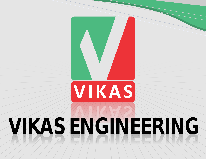# **VIKAS ENGINEERING VIKAS ENGINEERING**

VIKAS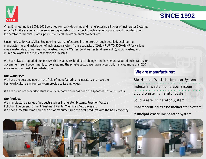

Vikas Engineering is a 9001: 2008 certified company designing and manufacturing all types of Incinerator Systems, since 1992. We are leading the engineering industry with respect to activities of supplying and manufacturing Incinerator to chemical plants, pharmaceuticals, environmental projects, etc.

Since the last 20 years, Vikas Engineering has manufactured incinerators through detailed, engineering, manufacturing, and installation of incinerators system from a capacity of 2KG/HR UP TO 5000KG/HR for various waste materials such as hazardous wastes, Medical Wastes, Solid wastes (and semi solid), liquid wastes, and municipal wastes and many other types of wastes.

We have always upgraded ourselves with the latest technological changes and have manufactured incinerators for government, semi government, corporates, and the private sector. We have successfully installed more than 250 systems with utmost client satisfaction.

#### **Our Work Place**

We have the best engineers in the field of manufacturing incinerators and have the best work culture any company can provide to its employees.

We are proud of the work culture in our company which has been the spearhead of our success.

#### **Our Products**

We manufacture a range of products such as Incinerator Systems, Reaction Vessels, Pollution Equipment, Effluent Treatment Plants, Chemicals Autoclaves etc. We have successfully mastered the art of manufacturing the best products with the best efficiency.

#### **We are manufacturer:**

Bio-Medical Waste Incinerator System Industrial Waste Incinerator System Liquid Waste Incinerator System Solid Waste Incinerator System Pharmaceutical Waste Incinerator System Muncipal Waste Incinerator System



### **SINCE 1992**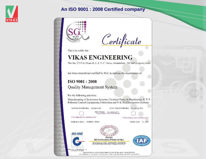

#### **An ISO 9001 : 2008 Certified company**



Certificate

This is to certify that

## **VIKAS ENGINEERING**

Plot No. 273/1/8, Phase-II, G. I. D. C. Vatva, Ahmedabad - 382 445 (Gujarat) India-

has been assessed and certified by SGC as meeting the requirements of

#### ISO 9001:2008 **Quality Management System**

For the following activities:

50 (长 Bu

 $-65$ 

**WG** 

 $\sqrt{2}a$ 

**SG.** 

Manufacturing of Incinerator Systems, Chemical Plants & Machineries, E. T. P. Pollution Control Equipments, Fabrication and O & M of Incinerator Systems

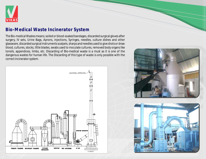

#### **Bio-Medical Waste Incinerator System**

The Bio-medical Wastes means; soiled or blood-soaked bandages, discarded surgical gloves after surgery, IV sets, Urine Bags, Aprons, injections, Syringes, needles, culture dishes and other glassware, discarded surgical instruments scalpels, sharps and needles used to give shots or draw blood, cultures, stocks, little blades, swabs used to inoculate cultures, removed body organs like tonsils, appendices, limbs, etc. Discarding of Bio-medical waste is a must as it is one of the dangerous wastes for human life. The Discarding of this type of waste is only possible with the correct incinerator system.



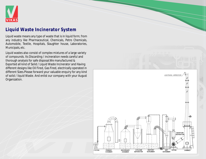

#### **Liquid Waste Incinerator System**

Liquid waste means any type of waste that is in liquid form; from any industry like Pharmaceutical, Chemicals, Petro Chemicals, Automobile, Textile, Hospitals, Slaughter house, Laboratories, Municipals, etc.

Liquid wastes also consist of complex mixtures of a large variety of compounds. Its Discarding / incineration needs careful and thorough analysis for safe disposal.We manufactured & Exported all kind of Solid / Liquid Waste Incinerator and Having different designs like Oil Fired, Gas Fired, electrically operated in different Sizes.Please forward your valuable enquiry for any kind of solid / liquid Waste. And enlist our company with your August Organization.

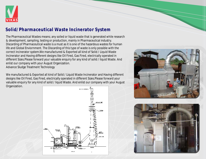

#### **Solid/Pharmaceutical Waste Incinerator System**

The Pharmaceutical Wastes means; any soiled or liquid waste that is generated while research & development, sampling, testing or production, mainly in Pharmaceutical industry. Discarding of Pharmaceutical waste is a must as it is one of the hazardous wastes for human life and Global Enviornment. The Discarding of this type of waste is only possible with the correct incinerator system.We manufactured & Exported all kind of Solid / Liquid Waste Incinerator and Having different designs like Oil Fired, Gas Fired, electrically operated in different Sizes.Please forward your valuable enquiry for any kind of solid / liquid Waste. And enlist our company with your August Organization. Advance Sludge Treatment Technology

We manufactured & Exported all kind of Solid / Liquid Waste Incinerator and Having different designs like Oil Fired, Gas Fired, electrically operated in different Sizes.Please forward your valuable enquiry for any kind of solid / liquid Waste. And enlist our company with your August Organization.





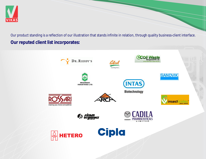

Our product standing is a reflection of our illustration that stands infinite in relation, through quality business-client interface. **Our reputed client list incorporates:**